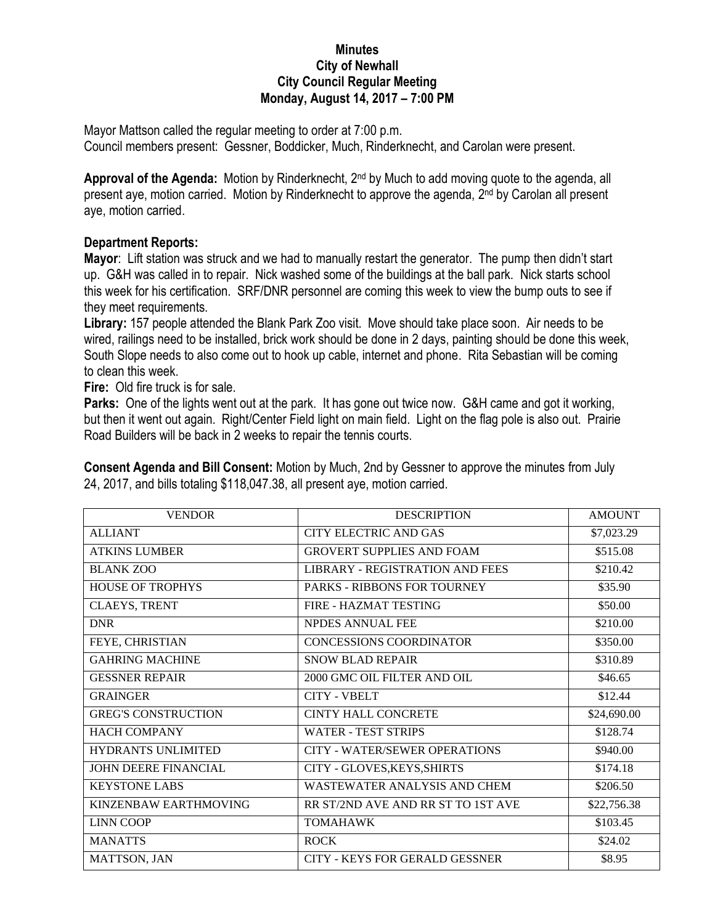## **Minutes City of Newhall City Council Regular Meeting Monday, August 14, 2017 – 7:00 PM**

Mayor Mattson called the regular meeting to order at 7:00 p.m. Council members present: Gessner, Boddicker, Much, Rinderknecht, and Carolan were present.

**Approval of the Agenda:** Motion by Rinderknecht, 2nd by Much to add moving quote to the agenda, all present aye, motion carried. Motion by Rinderknecht to approve the agenda, 2<sup>nd</sup> by Carolan all present aye, motion carried.

## **Department Reports:**

**Mayor**: Lift station was struck and we had to manually restart the generator. The pump then didn't start up. G&H was called in to repair. Nick washed some of the buildings at the ball park. Nick starts school this week for his certification. SRF/DNR personnel are coming this week to view the bump outs to see if they meet requirements.

**Library:** 157 people attended the Blank Park Zoo visit. Move should take place soon. Air needs to be wired, railings need to be installed, brick work should be done in 2 days, painting should be done this week, South Slope needs to also come out to hook up cable, internet and phone. Rita Sebastian will be coming to clean this week.

**Fire:** Old fire truck is for sale.

**Parks:** One of the lights went out at the park. It has gone out twice now. G&H came and got it working, but then it went out again. Right/Center Field light on main field. Light on the flag pole is also out. Prairie Road Builders will be back in 2 weeks to repair the tennis courts.

**Consent Agenda and Bill Consent:** Motion by Much, 2nd by Gessner to approve the minutes from July 24, 2017, and bills totaling \$118,047.38, all present aye, motion carried.

| <b>VENDOR</b>              | <b>DESCRIPTION</b>                     | <b>AMOUNT</b> |
|----------------------------|----------------------------------------|---------------|
| <b>ALLIANT</b>             | <b>CITY ELECTRIC AND GAS</b>           | \$7,023.29    |
| <b>ATKINS LUMBER</b>       | <b>GROVERT SUPPLIES AND FOAM</b>       | \$515.08      |
| <b>BLANK ZOO</b>           | <b>LIBRARY - REGISTRATION AND FEES</b> | \$210.42      |
| <b>HOUSE OF TROPHYS</b>    | <b>PARKS - RIBBONS FOR TOURNEY</b>     | \$35.90       |
| <b>CLAEYS, TRENT</b>       | FIRE - HAZMAT TESTING                  | \$50.00       |
| <b>DNR</b>                 | <b>NPDES ANNUAL FEE</b>                | \$210.00      |
| FEYE, CHRISTIAN            | <b>CONCESSIONS COORDINATOR</b>         | \$350.00      |
| <b>GAHRING MACHINE</b>     | <b>SNOW BLAD REPAIR</b>                | \$310.89      |
| <b>GESSNER REPAIR</b>      | 2000 GMC OIL FILTER AND OIL            | \$46.65       |
| <b>GRAINGER</b>            | <b>CITY - VBELT</b>                    | \$12.44       |
| <b>GREG'S CONSTRUCTION</b> | <b>CINTY HALL CONCRETE</b>             | \$24,690.00   |
| <b>HACH COMPANY</b>        | <b>WATER - TEST STRIPS</b>             | \$128.74      |
| <b>HYDRANTS UNLIMITED</b>  | CITY - WATER/SEWER OPERATIONS          | \$940.00      |
| JOHN DEERE FINANCIAL       | CITY - GLOVES, KEYS, SHIRTS            | \$174.18      |
| <b>KEYSTONE LABS</b>       | WASTEWATER ANALYSIS AND CHEM           | \$206.50      |
| KINZENBAW EARTHMOVING      | RR ST/2ND AVE AND RR ST TO 1ST AVE     | \$22,756.38   |
| <b>LINN COOP</b>           | <b>TOMAHAWK</b>                        | \$103.45      |
| <b>MANATTS</b>             | <b>ROCK</b>                            | \$24.02       |
| <b>MATTSON, JAN</b>        | CITY - KEYS FOR GERALD GESSNER         | \$8.95        |